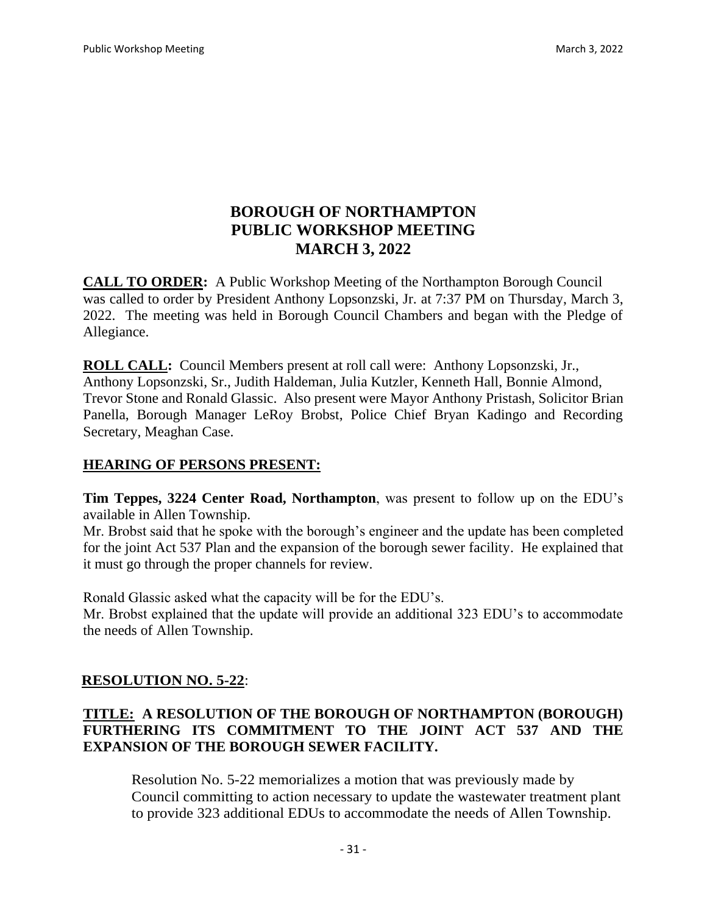# **BOROUGH OF NORTHAMPTON PUBLIC WORKSHOP MEETING MARCH 3, 2022**

**CALL TO ORDER:** A Public Workshop Meeting of the Northampton Borough Council was called to order by President Anthony Lopsonzski, Jr. at 7:37 PM on Thursday, March 3, 2022. The meeting was held in Borough Council Chambers and began with the Pledge of Allegiance.

**ROLL CALL:** Council Members present at roll call were: Anthony Lopsonzski, Jr., Anthony Lopsonzski, Sr., Judith Haldeman, Julia Kutzler, Kenneth Hall, Bonnie Almond, Trevor Stone and Ronald Glassic. Also present were Mayor Anthony Pristash, Solicitor Brian Panella, Borough Manager LeRoy Brobst, Police Chief Bryan Kadingo and Recording Secretary, Meaghan Case.

## **HEARING OF PERSONS PRESENT:**

**Tim Teppes, 3224 Center Road, Northampton**, was present to follow up on the EDU's available in Allen Township.

Mr. Brobst said that he spoke with the borough's engineer and the update has been completed for the joint Act 537 Plan and the expansion of the borough sewer facility. He explained that it must go through the proper channels for review.

Ronald Glassic asked what the capacity will be for the EDU's.

Mr. Brobst explained that the update will provide an additional 323 EDU's to accommodate the needs of Allen Township.

## **RESOLUTION NO. 5-22**:

## **TITLE: A RESOLUTION OF THE BOROUGH OF NORTHAMPTON (BOROUGH) FURTHERING ITS COMMITMENT TO THE JOINT ACT 537 AND THE EXPANSION OF THE BOROUGH SEWER FACILITY.**

Resolution No. 5-22 memorializes a motion that was previously made by Council committing to action necessary to update the wastewater treatment plant to provide 323 additional EDUs to accommodate the needs of Allen Township.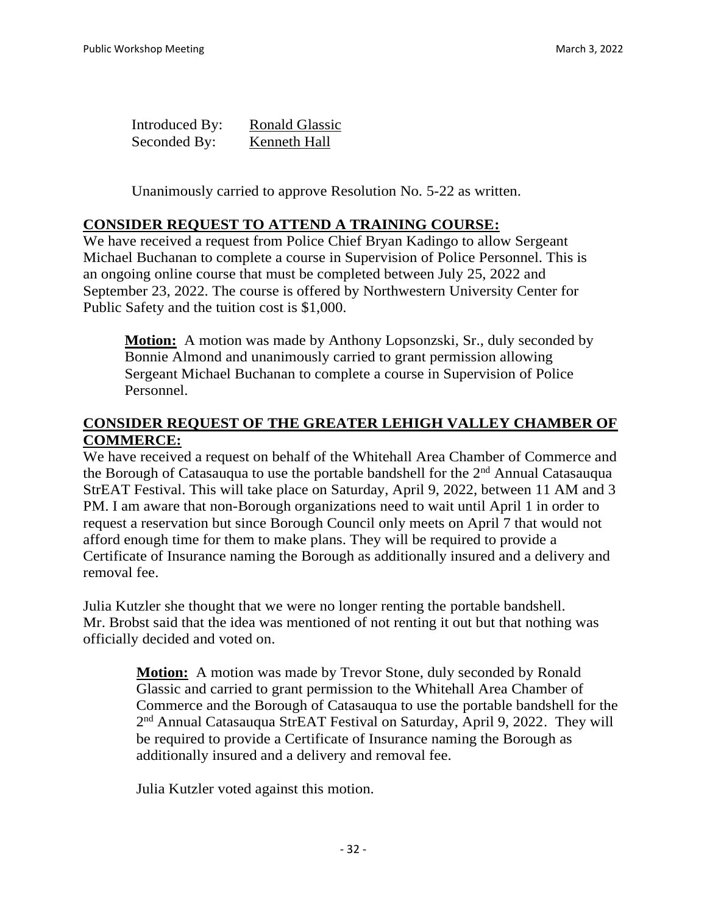| Introduced By: | <b>Ronald Glassic</b> |
|----------------|-----------------------|
| Seconded By:   | Kenneth Hall          |

Unanimously carried to approve Resolution No. 5-22 as written.

#### **CONSIDER REQUEST TO ATTEND A TRAINING COURSE:**

We have received a request from Police Chief Bryan Kadingo to allow Sergeant Michael Buchanan to complete a course in Supervision of Police Personnel. This is an ongoing online course that must be completed between July 25, 2022 and September 23, 2022. The course is offered by Northwestern University Center for Public Safety and the tuition cost is \$1,000.

Motion: A motion was made by Anthony Lopsonzski, Sr., duly seconded by Bonnie Almond and unanimously carried to grant permission allowing Sergeant Michael Buchanan to complete a course in Supervision of Police Personnel.

#### **CONSIDER REQUEST OF THE GREATER LEHIGH VALLEY CHAMBER OF COMMERCE:**

We have received a request on behalf of the Whitehall Area Chamber of Commerce and the Borough of Catasauqua to use the portable bandshell for the 2nd Annual Catasauqua StrEAT Festival. This will take place on Saturday, April 9, 2022, between 11 AM and 3 PM. I am aware that non-Borough organizations need to wait until April 1 in order to request a reservation but since Borough Council only meets on April 7 that would not afford enough time for them to make plans. They will be required to provide a Certificate of Insurance naming the Borough as additionally insured and a delivery and removal fee.

Julia Kutzler she thought that we were no longer renting the portable bandshell. Mr. Brobst said that the idea was mentioned of not renting it out but that nothing was officially decided and voted on.

> **Motion:** A motion was made by Trevor Stone, duly seconded by Ronald Glassic and carried to grant permission to the Whitehall Area Chamber of Commerce and the Borough of Catasauqua to use the portable bandshell for the 2<sup>nd</sup> Annual Catasauqua StrEAT Festival on Saturday, April 9, 2022. They will be required to provide a Certificate of Insurance naming the Borough as additionally insured and a delivery and removal fee.

Julia Kutzler voted against this motion.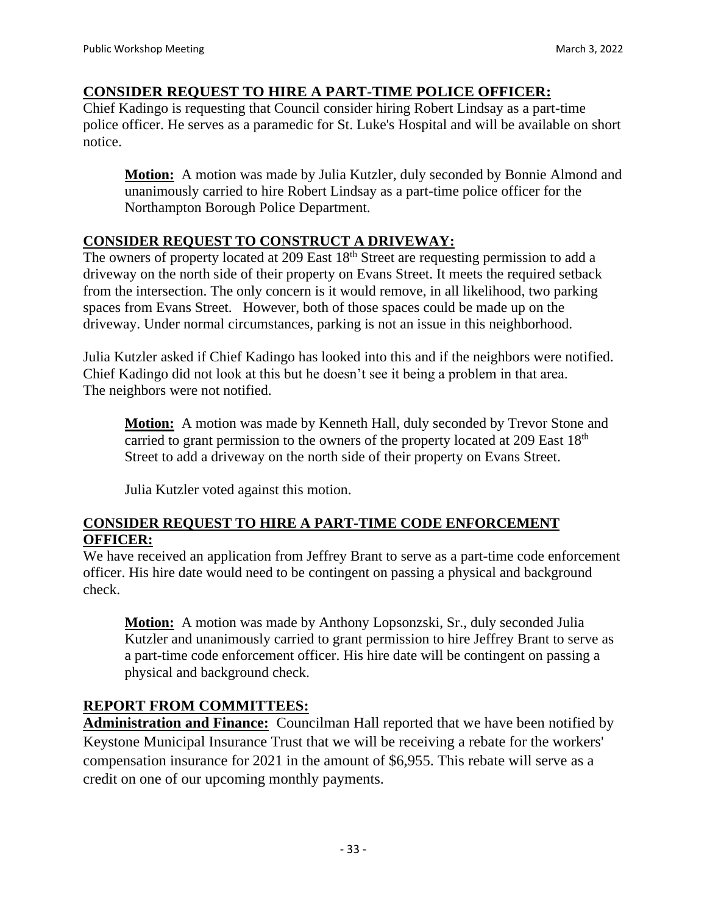#### **CONSIDER REQUEST TO HIRE A PART-TIME POLICE OFFICER:**

Chief Kadingo is requesting that Council consider hiring Robert Lindsay as a part-time police officer. He serves as a paramedic for St. Luke's Hospital and will be available on short notice.

**Motion:** A motion was made by Julia Kutzler, duly seconded by Bonnie Almond and unanimously carried to hire Robert Lindsay as a part-time police officer for the Northampton Borough Police Department.

## **CONSIDER REQUEST TO CONSTRUCT A DRIVEWAY:**

The owners of property located at 209 East 18<sup>th</sup> Street are requesting permission to add a driveway on the north side of their property on Evans Street. It meets the required setback from the intersection. The only concern is it would remove, in all likelihood, two parking spaces from Evans Street. However, both of those spaces could be made up on the driveway. Under normal circumstances, parking is not an issue in this neighborhood.

Julia Kutzler asked if Chief Kadingo has looked into this and if the neighbors were notified. Chief Kadingo did not look at this but he doesn't see it being a problem in that area. The neighbors were not notified.

**Motion:** A motion was made by Kenneth Hall, duly seconded by Trevor Stone and carried to grant permission to the owners of the property located at 209 East 18<sup>th</sup> Street to add a driveway on the north side of their property on Evans Street.

Julia Kutzler voted against this motion.

#### **CONSIDER REQUEST TO HIRE A PART-TIME CODE ENFORCEMENT OFFICER:**

We have received an application from Jeffrey Brant to serve as a part-time code enforcement officer. His hire date would need to be contingent on passing a physical and background check.

**Motion:** A motion was made by Anthony Lopsonzski, Sr., duly seconded Julia Kutzler and unanimously carried to grant permission to hire Jeffrey Brant to serve as a part-time code enforcement officer. His hire date will be contingent on passing a physical and background check.

## **REPORT FROM COMMITTEES:**

**Administration and Finance:** Councilman Hall reported that we have been notified by Keystone Municipal Insurance Trust that we will be receiving a rebate for the workers' compensation insurance for 2021 in the amount of \$6,955. This rebate will serve as a credit on one of our upcoming monthly payments.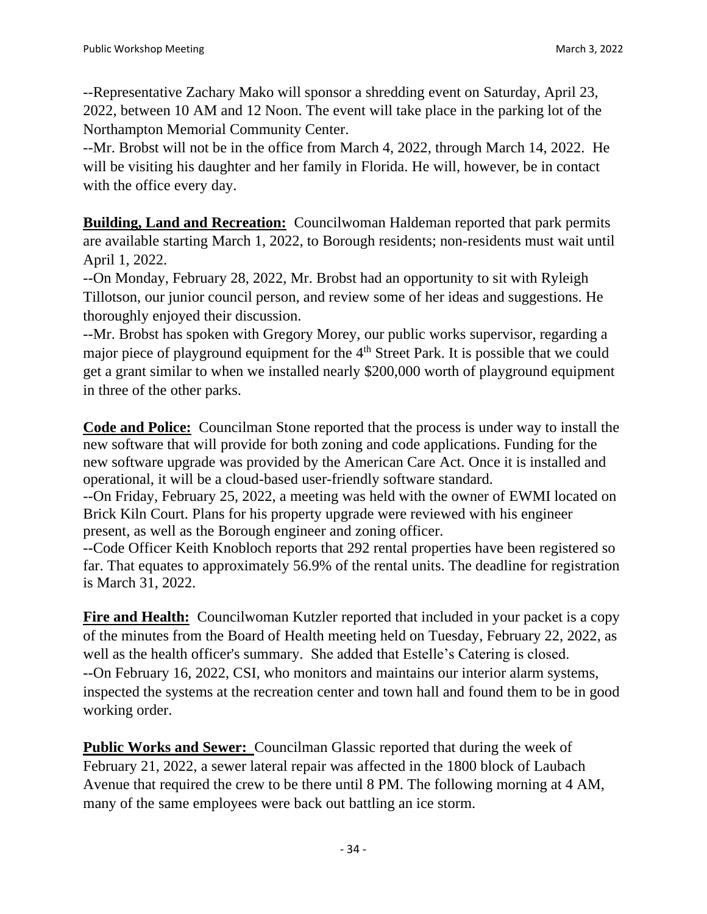--Representative Zachary Mako will sponsor a shredding event on Saturday, April 23, 2022, between 10 AM and 12 Noon. The event will take place in the parking lot of the Northampton Memorial Community Center.

--Mr. Brobst will not be in the office from March 4, 2022, through March 14, 2022. He will be visiting his daughter and her family in Florida. He will, however, be in contact with the office every day.

**Building, Land and Recreation:** Councilwoman Haldeman reported that park permits are available starting March 1, 2022, to Borough residents; non-residents must wait until April 1, 2022.

--On Monday, February 28, 2022, Mr. Brobst had an opportunity to sit with Ryleigh Tillotson, our junior council person, and review some of her ideas and suggestions. He thoroughly enjoyed their discussion.

--Mr. Brobst has spoken with Gregory Morey, our public works supervisor, regarding a major piece of playground equipment for the 4<sup>th</sup> Street Park. It is possible that we could get a grant similar to when we installed nearly \$200,000 worth of playground equipment in three of the other parks.

**Code and Police:** Councilman Stone reported that the process is under way to install the new software that will provide for both zoning and code applications. Funding for the new software upgrade was provided by the American Care Act. Once it is installed and operational, it will be a cloud-based user-friendly software standard.

--On Friday, February 25, 2022, a meeting was held with the owner of EWMI located on Brick Kiln Court. Plans for his property upgrade were reviewed with his engineer present, as well as the Borough engineer and zoning officer.

--Code Officer Keith Knobloch reports that 292 rental properties have been registered so far. That equates to approximately 56.9% of the rental units. The deadline for registration is March 31, 2022.

**Fire and Health:** Councilwoman Kutzler reported that included in your packet is a copy of the minutes from the Board of Health meeting held on Tuesday, February 22, 2022, as well as the health officer's summary. She added that Estelle's Catering is closed. --On February 16, 2022, CSI, who monitors and maintains our interior alarm systems, inspected the systems at the recreation center and town hall and found them to be in good working order.

**Public Works and Sewer:** Councilman Glassic reported that during the week of February 21, 2022, a sewer lateral repair was affected in the 1800 block of Laubach Avenue that required the crew to be there until 8 PM. The following morning at 4 AM, many of the same employees were back out battling an ice storm.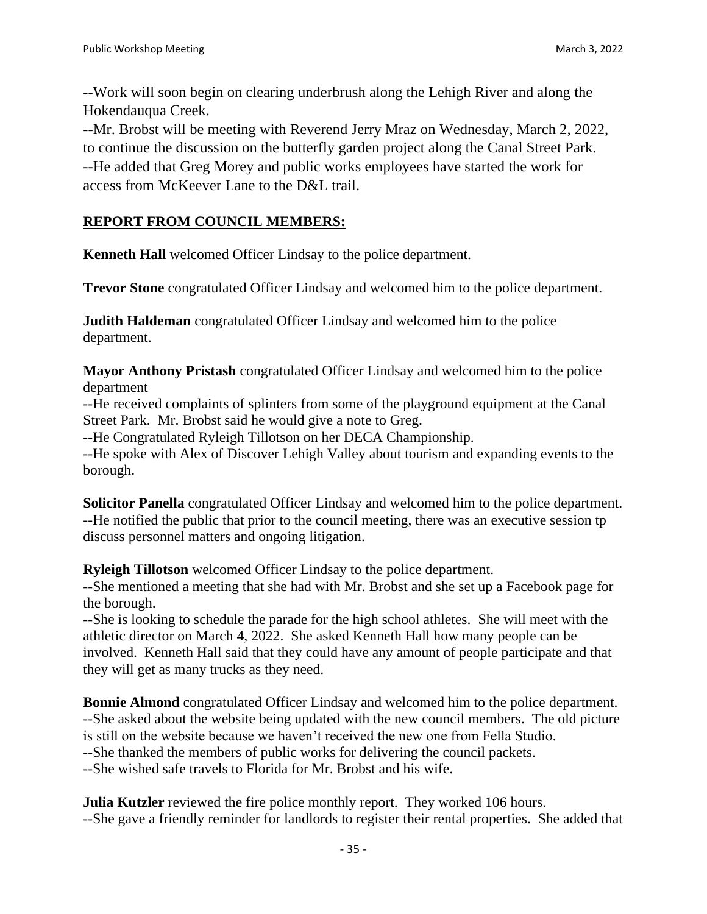--Work will soon begin on clearing underbrush along the Lehigh River and along the Hokendauqua Creek.

--Mr. Brobst will be meeting with Reverend Jerry Mraz on Wednesday, March 2, 2022, to continue the discussion on the butterfly garden project along the Canal Street Park. --He added that Greg Morey and public works employees have started the work for access from McKeever Lane to the D&L trail.

## **REPORT FROM COUNCIL MEMBERS:**

**Kenneth Hall** welcomed Officer Lindsay to the police department.

**Trevor Stone** congratulated Officer Lindsay and welcomed him to the police department.

**Judith Haldeman** congratulated Officer Lindsay and welcomed him to the police department.

**Mayor Anthony Pristash** congratulated Officer Lindsay and welcomed him to the police department

--He received complaints of splinters from some of the playground equipment at the Canal Street Park. Mr. Brobst said he would give a note to Greg.

--He Congratulated Ryleigh Tillotson on her DECA Championship.

--He spoke with Alex of Discover Lehigh Valley about tourism and expanding events to the borough.

**Solicitor Panella** congratulated Officer Lindsay and welcomed him to the police department. --He notified the public that prior to the council meeting, there was an executive session tp discuss personnel matters and ongoing litigation.

**Ryleigh Tillotson** welcomed Officer Lindsay to the police department.

--She mentioned a meeting that she had with Mr. Brobst and she set up a Facebook page for the borough.

--She is looking to schedule the parade for the high school athletes. She will meet with the athletic director on March 4, 2022. She asked Kenneth Hall how many people can be involved. Kenneth Hall said that they could have any amount of people participate and that they will get as many trucks as they need.

**Bonnie Almond** congratulated Officer Lindsay and welcomed him to the police department. --She asked about the website being updated with the new council members. The old picture is still on the website because we haven't received the new one from Fella Studio.

--She thanked the members of public works for delivering the council packets.

--She wished safe travels to Florida for Mr. Brobst and his wife.

**Julia Kutzler** reviewed the fire police monthly report. They worked 106 hours. --She gave a friendly reminder for landlords to register their rental properties. She added that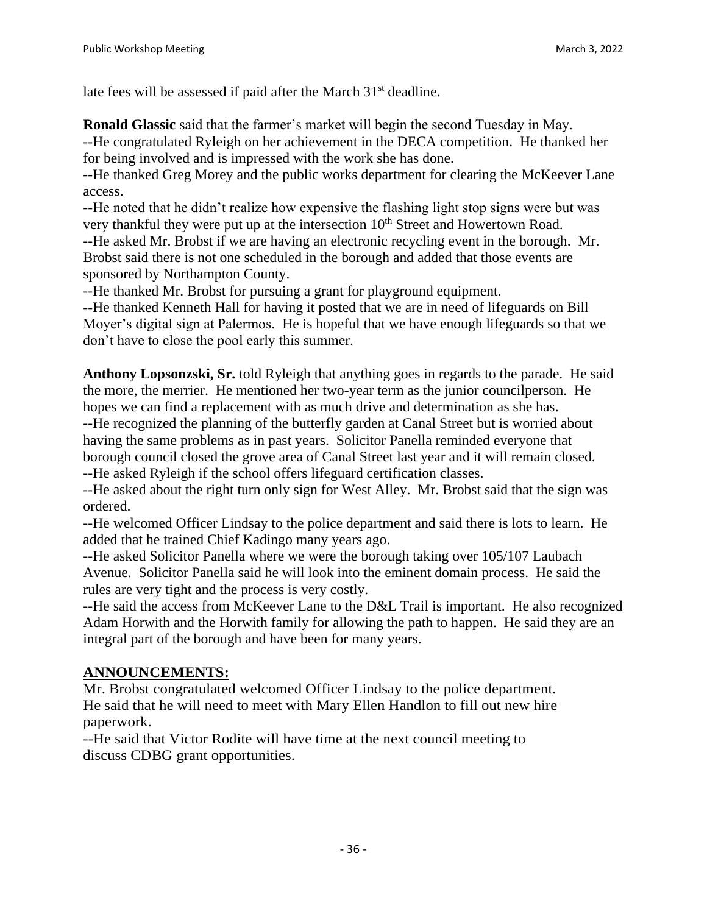late fees will be assessed if paid after the March 31<sup>st</sup> deadline.

**Ronald Glassic** said that the farmer's market will begin the second Tuesday in May. --He congratulated Ryleigh on her achievement in the DECA competition. He thanked her for being involved and is impressed with the work she has done.

--He thanked Greg Morey and the public works department for clearing the McKeever Lane access.

--He noted that he didn't realize how expensive the flashing light stop signs were but was very thankful they were put up at the intersection  $10<sup>th</sup>$  Street and Howertown Road.

--He asked Mr. Brobst if we are having an electronic recycling event in the borough. Mr. Brobst said there is not one scheduled in the borough and added that those events are sponsored by Northampton County.

--He thanked Mr. Brobst for pursuing a grant for playground equipment.

--He thanked Kenneth Hall for having it posted that we are in need of lifeguards on Bill Moyer's digital sign at Palermos. He is hopeful that we have enough lifeguards so that we don't have to close the pool early this summer.

**Anthony Lopsonzski, Sr.** told Ryleigh that anything goes in regards to the parade. He said the more, the merrier. He mentioned her two-year term as the junior councilperson. He hopes we can find a replacement with as much drive and determination as she has.

--He recognized the planning of the butterfly garden at Canal Street but is worried about having the same problems as in past years. Solicitor Panella reminded everyone that borough council closed the grove area of Canal Street last year and it will remain closed. --He asked Ryleigh if the school offers lifeguard certification classes.

--He asked about the right turn only sign for West Alley. Mr. Brobst said that the sign was ordered.

--He welcomed Officer Lindsay to the police department and said there is lots to learn. He added that he trained Chief Kadingo many years ago.

--He asked Solicitor Panella where we were the borough taking over 105/107 Laubach Avenue. Solicitor Panella said he will look into the eminent domain process. He said the rules are very tight and the process is very costly.

--He said the access from McKeever Lane to the D&L Trail is important. He also recognized Adam Horwith and the Horwith family for allowing the path to happen. He said they are an integral part of the borough and have been for many years.

# **ANNOUNCEMENTS:**

Mr. Brobst congratulated welcomed Officer Lindsay to the police department. He said that he will need to meet with Mary Ellen Handlon to fill out new hire paperwork.

--He said that Victor Rodite will have time at the next council meeting to discuss CDBG grant opportunities.